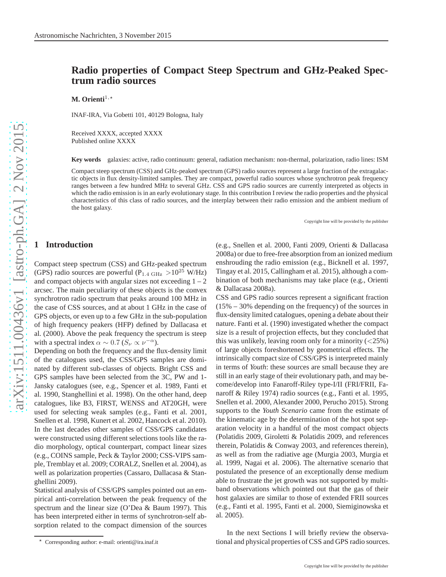# **Radio properties of Compact Steep Spectrum and GHz-Peaked Spectrum radio sources**

**M.** Orienti<sup>1,\*</sup>

INAF-IRA, Via Gobetti 101, 40129 Bologna, Italy

Received XXXX, accepted XXXX Published online XXXX

**Key words** galaxies: active, radio continuum: general, radiation mechanism: non-thermal, polarization, radio lines: ISM

Compact steep spectrum (CSS) and GHz-peaked spectrum (GPS) radio sources represent a large fraction of the extragalactic objects in flux density-limited samples. They are compact, powerful radio sources whose synchrotron peak frequency ranges between a few hundred MHz to several GHz. CSS and GPS radio sources are currently interpreted as objects in which the radio emission is in an early evolutionary stage. In this contribution I review the radio properties and the physical characteristics of this class of radio sources, and the interplay between their radio emission and the ambient medium of the host galaxy.

Copyright line will be provided by the publisher

## **1 Introduction**

Compact steep spectrum (CSS) and GHz-peaked spectrum (GPS) radio sources are powerful ( $P_{1.4 \text{ GHz}} > 10^{25} \text{ W/Hz}$ ) and compact objects with angular sizes not exceeding  $1 - 2$ arcsec. The main peculiarity of these objects is the convex synchrotron radio spectrum that peaks around 100 MHz in the case of CSS sources, and at about 1 GHz in the case of GPS objects, or even up to a few GHz in the sub-population of high frequency peakers (HFP) defined by Dallacasa et al. (2000). Above the peak frequency the spectrum is steep with a spectral index  $\alpha \sim 0.7$  ( $S_{\nu} \propto \nu^{-\alpha}$ ).

Depending on both the frequency and the flux-density limit of the catalogues used, the CSS/GPS samples are dominated by different sub-classes of objects. Bright CSS and GPS samples have been selected from the 3C, PW and 1- Jansky catalogues (see, e.g., Spencer et al. 1989, Fanti et al. 1990, Stanghellini et al. 1998). On the other hand, deep catalogues, like B3, FIRST, WENSS and AT20GH, were used for selecting weak samples (e.g., Fanti et al. 2001, Snellen et al. 1998, Kunert et al. 2002, Hancock et al. 2010). In the last decades other samples of CSS/GPS candidates were constructed using different selections tools like the radio morphology, optical counterpart, compact linear sizes (e.g., COINS sample, Peck & Taylor 2000; CSS-VIPS sample, Tremblay et al. 2009; CORALZ, Snellen et al. 2004), as well as polarization properties (Cassaro, Dallacasa & Stanghellini 2009).

Statistical analysis of CSS/GPS samples pointed out an empirical anti-correlation between the peak frequency of the spectrum and the linear size (O'Dea & Baum 1997). This has been interpreted either in terms of synchrotron-self absorption related to the compact dimension of the sources

(e.g., Snellen et al. 2000, Fanti 2009, Orienti & Dallacasa 2008a) or due to free-free absorption from an ionized medium enshrouding the radio emission (e.g., Bicknell et al. 1997, Tingay et al. 2015, Callingham et al. 2015), although a combination of both mechanisms may take place (e.g., Orienti & Dallacasa 2008a).

CSS and GPS radio sources represent a significant fraction (15% – 30% depending on the frequency) of the sources in flux-density limited catalogues, opening a debate about their nature. Fanti et al. (1990) investigated whether the compact size is a result of projection effects, but they concluded that this was unlikely, leaving room only for a minority  $\left\langle \frac{25\%}{25\%} \right\rangle$ of large objects foreshortened by geometrical effects. The intrinsically compact size of CSS/GPS is interpreted mainly in terms of *Youth*: these sources are small because they are still in an early stage of their evolutionary path, and may become/develop into Fanaroff-Riley type-I/II (FRI/FRII, Fanaroff & Riley 1974) radio sources (e.g., Fanti et al. 1995, Snellen et al. 2000, Alexander 2000, Perucho 2015). Strong supports to the *Youth Scenario* came from the estimate of the kinematic age by the determination of the hot spot separation velocity in a handful of the most compact objects (Polatidis 2009, Giroletti & Polatidis 2009, and references therein, Polatidis & Conway 2003, and references therein), as well as from the radiative age (Murgia 2003, Murgia et al. 1999, Nagai et al. 2006). The alternative scenario that postulated the presence of an exceptionally dense medium able to frustrate the jet growth was not supported by multiband observations which pointed out that the gas of their host galaxies are similar to those of extended FRII sources (e.g., Fanti et al. 1995, Fanti et al. 2000, Siemiginowska et al. 2005).

In the next Sections I will briefly review the observational and physical properties of CSS and GPS radio sources.

Corresponding author: e-mail: orienti@ira.inaf.it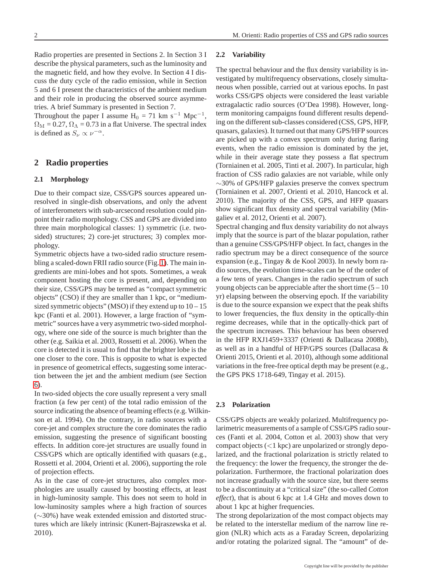Radio properties are presented in Sections 2. In Section 3 I describe the physical parameters, such as the luminosity and the magnetic field, and how they evolve. In Section 4 I discuss the duty cycle of the radio emission, while in Section 5 and 6 I present the characteristics of the ambient medium and their role in producing the observed source asymmetries. A brief Summary is presented in Section 7.

Throughout the paper I assume  $H_0 = 71$  km s<sup>-1</sup> Mpc<sup>-1</sup>,  $\Omega_{\rm M} = 0.27$ ,  $\Omega_{\Lambda} = 0.73$  in a flat Universe. The spectral index is defined as  $S_{\nu} \propto \nu^{-\alpha}$ .

### <span id="page-1-0"></span>**2 Radio properties**

### **2.1 Morphology**

Due to their compact size, CSS/GPS sources appeared unresolved in single-dish observations, and only the advent of interferometers with sub-arcsecond resolution could pinpoint their radio morphology. CSS and GPS are divided into three main morphological classes: 1) symmetric (i.e. twosided) structures; 2) core-jet structures; 3) complex morphology.

Symmetric objects have a two-sided radio structure resembling a scaled-down FRII radio source (Fig. [1\)](#page-2-0). The main ingredients are mini-lobes and hot spots. Sometimes, a weak component hosting the core is present, and, depending on their size, CSS/GPS may be termed as "compact symmetric objects" (CSO) if they are smaller than 1 kpc, or "mediumsized symmetric objects" (MSO) if they extend up to  $10-15$ kpc (Fanti et al. 2001). However, a large fraction of "symmetric" sources have a very asymmetric two-sided morphology, where one side of the source is much brighter than the other (e.g. Saikia et al. 2003, Rossetti et al. 2006). When the core is detected it is usual to find that the brighter lobe is the one closer to the core. This is opposite to what is expected in presence of geometrical effects, suggesting some interaction between the jet and the ambient medium (see Section [6\)](#page-5-0).

In two-sided objects the core usually represent a very small fraction (a few per cent) of the total radio emission of the source indicating the absence of beaming effects (e.g. Wilkinson et al. 1994). On the contrary, in radio sources with a core-jet and complex structure the core dominates the radio emission, suggesting the presence of significant boosting effects. In addition core-jet structures are usually found in CSS/GPS which are optically identified with quasars (e.g., Rossetti et al. 2004, Orienti et al. 2006), supporting the role of projection effects.

As in the case of core-jet structures, also complex morphologies are usually caused by boosting effects, at least in high-luminosity sample. This does not seem to hold in low-luminosity samples where a high fraction of sources (∼30%) have weak extended emission and distorted structures which are likely intrinsic (Kunert-Bajraszewska et al. 2010).

#### **2.2 Variability**

The spectral behaviour and the flux density variability is investigated by multifrequency observations, closely simultaneous when possible, carried out at various epochs. In past works CSS/GPS objects were considered the least variable extragalactic radio sources (O'Dea 1998). However, longterm monitoring campaigns found different results depending on the different sub-classes considered (CSS, GPS, HFP, quasars, galaxies). It turned out that many GPS/HFP sources are picked up with a convex spectrum only during flaring events, when the radio emission is dominated by the jet, while in their average state they possess a flat spectrum (Torniainen et al. 2005, Tinti et al. 2007). In particular, high fraction of CSS radio galaxies are not variable, while only ∼30% of GPS/HFP galaxies preserve the convex spectrum (Torniainen et al. 2007, Orienti et al. 2010, Hancock et al. 2010). The majority of the CSS, GPS, and HFP quasars show significant flux density and spectral variability (Mingaliev et al. 2012, Orienti et al. 2007).

Spectral changing and flux density variability do not always imply that the source is part of the blazar population, rather than a genuine CSS/GPS/HFP object. In fact, changes in the radio spectrum may be a direct consequence of the source expansion (e.g., Tingay & de Kool 2003). In newly born radio sources, the evolution time-scales can be of the order of a few tens of years. Changes in the radio spectrum of such young objects can be appreciable after the short time  $(5 - 10)$ yr) elapsing between the observing epoch. If the variability is due to the source expansion we expect that the peak shifts to lower frequencies, the flux density in the optically-thin regime decreases, while that in the optically-thick part of the spectrum increases. This behaviour has been observed in the HFP RXJ1459+3337 (Orienti & Dallacasa 2008b), as well as in a handful of HFP/GPS sources (Dallacasa & Orienti 2015, Orienti et al. 2010), although some additional variations in the free-free optical depth may be present (e.g., the GPS PKS 1718-649, Tingay et al. 2015).

#### **2.3 Polarization**

CSS/GPS objects are weakly polarized. Multifrequency polarimetric measurements of a sample of CSS/GPS radio sources (Fanti et al. 2004, Cotton et al. 2003) show that very compact objects  $(< 1 \text{ kpc}$ ) are unpolarized or strongly depolarized, and the fractional polarization is strictly related to the frequency: the lower the frequency, the stronger the depolarization. Furthermore, the fractional polarization does not increase gradually with the source size, but there seems to be a discontinuity at a "critical size" (the so-called *Cotton effect*), that is about 6 kpc at 1.4 GHz and moves down to about 1 kpc at higher frequencies.

The strong depolarization of the most compact objects may be related to the interstellar medium of the narrow line region (NLR) which acts as a Faraday Screen, depolarizing and/or rotating the polarized signal. The "amount" of de-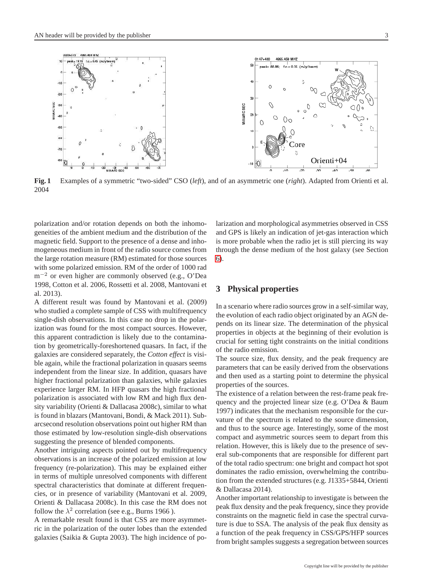

<span id="page-2-0"></span>**Fig. 1** Examples of a symmetric "two-sided" CSO (*left*), and of an asymmetric one (*right*). Adapted from Orienti et al. 2004

polarization and/or rotation depends on both the inhomogeneities of the ambient medium and the distribution of the magnetic field. Support to the presence of a dense and inhomogeneous medium in front of the radio source comes from the large rotation measure (RM) estimated for those sources with some polarized emission. RM of the order of 1000 rad m−<sup>2</sup> or even higher are commonly observed (e.g., O'Dea 1998, Cotton et al. 2006, Rossetti et al. 2008, Mantovani et al. 2013).

A different result was found by Mantovani et al. (2009) who studied a complete sample of CSS with multifrequency single-dish observations. In this case no drop in the polarization was found for the most compact sources. However, this apparent contradiction is likely due to the contamination by geometrically-foreshortened quasars. In fact, if the galaxies are considered separately, the *Cotton effect* is visible again, while the fractional polarization in quasars seems independent from the linear size. In addition, quasars have higher fractional polarization than galaxies, while galaxies experience larger RM. In HFP quasars the high fractional polarization is associated with low RM and high flux density variability (Orienti & Dallacasa 2008c), similar to what is found in blazars (Mantovani, Bondi, & Mack 2011). Subarcsecond resolution observations point out higher RM than those estimated by low-resolution single-dish observations suggesting the presence of blended components.

Another intriguing aspects pointed out by multifrequency observations is an increase of the polarized emission at low frequency (re-polarization). This may be explained either in terms of multiple unresolved components with different spectral characteristics that dominate at different frequencies, or in presence of variability (Mantovani et al. 2009, Orienti & Dallacasa 2008c). In this case the RM does not follow the  $\lambda^2$  correlation (see e.g., Burns 1966).

A remarkable result found is that CSS are more asymmetric in the polarization of the outer lobes than the extended galaxies (Saikia & Gupta 2003). The high incidence of polarization and morphological asymmetries observed in CSS and GPS is likely an indication of jet-gas interaction which is more probable when the radio jet is still piercing its way through the dense medium of the host galaxy (see Section [6\)](#page-5-0).

### **3 Physical properties**

In a scenario where radio sources grow in a self-similar way, the evolution of each radio object originated by an AGN depends on its linear size. The determination of the physical properties in objects at the beginning of their evolution is crucial for setting tight constraints on the initial conditions of the radio emission.

The source size, flux density, and the peak frequency are parameters that can be easily derived from the observations and then used as a starting point to determine the physical properties of the sources.

The existence of a relation between the rest-frame peak frequency and the projected linear size (e.g. O'Dea & Baum 1997) indicates that the mechanism responsible for the curvature of the spectrum is related to the source dimension, and thus to the source age. Interestingly, some of the most compact and asymmetric sources seem to depart from this relation. However, this is likely due to the presence of several sub-components that are responsible for different part of the total radio spectrum: one bright and compact hot spot dominates the radio emission, overwhelming the contribution from the extended structures (e.g. J1335+5844, Orienti & Dallacasa 2014).

Another important relationship to investigate is between the peak flux density and the peak frequency, since they provide constraints on the magnetic field in case the spectral curvature is due to SSA. The analysis of the peak flux density as a function of the peak frequency in CSS/GPS/HFP sources from bright samples suggests a segregation between sources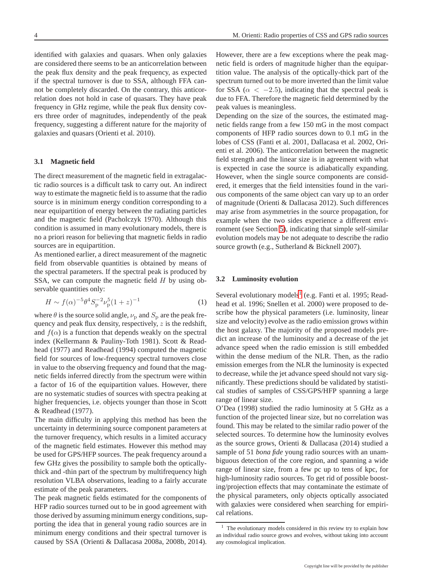identified with galaxies and quasars. When only galaxies are considered there seems to be an anticorrelation between the peak flux density and the peak frequency, as expected if the spectral turnover is due to SSA, although FFA cannot be completely discarded. On the contrary, this anticorrelation does not hold in case of quasars. They have peak frequency in GHz regime, while the peak flux density covers three order of magnitudes, independently of the peak frequency, suggesting a different nature for the majority of galaxies and quasars (Orienti et al. 2010).

#### **3.1 Magnetic field**

The direct measurement of the magnetic field in extragalactic radio sources is a difficult task to carry out. An indirect way to estimate the magnetic field is to assume that the radio source is in minimum energy condition corresponding to a near equipartition of energy between the radiating particles and the magnetic field (Pacholczyk 1970). Although this condition is assumed in many evolutionary models, there is no a priori reason for believing that magnetic fields in radio sources are in equipartition.

As mentioned earlier, a direct measurement of the magnetic field from observable quantities is obtained by means of the spectral parameters. If the spectral peak is produced by SSA, we can compute the magnetic field  $H$  by using observable quantities only:

$$
H \sim f(\alpha)^{-5} \theta^4 S_p^{-2} \nu_p^5 (1+z)^{-1}
$$
 (1)

where  $\theta$  is the source solid angle,  $\nu_{\rm p}$  and  $S_{\rm p}$  are the peak frequency and peak flux density, respectively, z is the redshift, and  $f(\alpha)$  is a function that depends weakly on the spectral index (Kellermann & Pauliny-Toth 1981). Scott & Readhead (1977) and Readhead (1994) computed the magnetic field for sources of low-frequency spectral turnovers close in value to the observing frequency and found that the magnetic fields inferred directly from the spectrum were within a factor of 16 of the equipartition values. However, there are no systematic studies of sources with spectra peaking at higher frequencies, i.e. objects younger than those in Scott & Readhead (1977).

The main difficulty in applying this method has been the uncertainty in determining source component parameters at the turnover frequency, which results in a limited accuracy of the magnetic field estimates. However this method may be used for GPS/HFP sources. The peak frequency around a few GHz gives the possibility to sample both the opticallythick and -thin part of the spectrum by multifrequency high resolution VLBA observations, leading to a fairly accurate estimate of the peak parameters.

The peak magnetic fields estimated for the components of HFP radio sources turned out to be in good agreement with those derived by assuming minimum energy conditions, supporting the idea that in general young radio sources are in minimum energy conditions and their spectral turnover is caused by SSA (Orienti & Dallacasa 2008a, 2008b, 2014). However, there are a few exceptions where the peak magnetic field is orders of magnitude higher than the equipartition value. The analysis of the optically-thick part of the spectrum turned out to be more inverted than the limit value for SSA ( $\alpha$  < -2.5), indicating that the spectral peak is due to FFA. Therefore the magnetic field determined by the peak values is meaningless.

Depending on the size of the sources, the estimated magnetic fields range from a few 150 mG in the most compact components of HFP radio sources down to 0.1 mG in the lobes of CSS (Fanti et al. 2001, Dallacasa et al. 2002, Orienti et al. 2006). The anticorrelation between the magnetic field strength and the linear size is in agreement with what is expected in case the source is adiabatically expanding. However, when the single source components are considered, it emerges that the field intensities found in the various components of the same object can vary up to an order of magnitude (Orienti & Dallacasa 2012). Such differences may arise from asymmetries in the source propagation, for example when the two sides experience a different environment (see Section [5\)](#page-5-1), indicating that simple self-similar evolution models may be not adequate to describe the radio source growth (e.g., Sutherland & Bicknell 2007).

#### **3.2 Luminosity evolution**

Several evolutionary models<sup>[1](#page-3-0)</sup> (e.g. Fanti et al. 1995; Readhead et al. 1996; Snellen et al. 2000) were proposed to describe how the physical parameters (i.e. luminosity, linear size and velocity) evolve as the radio emission grows within the host galaxy. The majority of the proposed models predict an increase of the luminosity and a decrease of the jet advance speed when the radio emission is still embedded within the dense medium of the NLR. Then, as the radio emission emerges from the NLR the luminosity is expected to decrease, while the jet advance speed should not vary significantly. These predictions should be validated by statistical studies of samples of CSS/GPS/HFP spanning a large range of linear size.

O'Dea (1998) studied the radio luminosity at 5 GHz as a function of the projected linear size, but no correlation was found. This may be related to the similar radio power of the selected sources. To determine how the luminosity evolves as the source grows, Orienti & Dallacasa (2014) studied a sample of 51 *bona fide* young radio sources with an unambiguous detection of the core region, and spanning a wide range of linear size, from a few pc up to tens of kpc, for high-luminosity radio sources. To get rid of possible boosting/projection effects that may contaminate the estimate of the physical parameters, only objects optically associated with galaxies were considered when searching for empirical relations.

<span id="page-3-0"></span><sup>&</sup>lt;sup>1</sup> The evolutionary models considered in this review try to explain how an individual radio source grows and evolves, without taking into account any cosmological implication.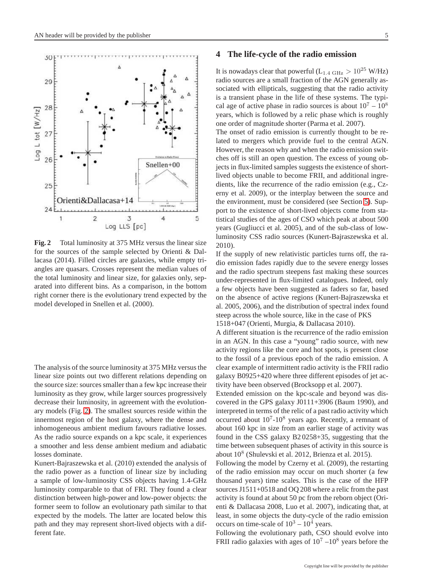50

29

28

27



<span id="page-4-0"></span>for the sources of the sample selected by Orienti & Dallacasa (2014). Filled circles are galaxies, while empty triangles are quasars. Crosses represent the median values of the total luminosity and linear size, for galaxies only, separated into different bins. As a comparison, in the bottom right corner there is the evolutionary trend expected by the model developed in Snellen et al. (2000).

The analysis of the source luminosity at 375 MHz versus the linear size points out two different relations depending on the source size: sources smaller than a few kpc increase their luminosity as they grow, while larger sources progressively decrease their luminosity, in agreement with the evolutionary models (Fig. [2\)](#page-4-0). The smallest sources reside within the innermost region of the host galaxy, where the dense and inhomogeneous ambient medium favours radiative losses. As the radio source expands on a kpc scale, it experiences a smoother and less dense ambient medium and adiabatic losses dominate.

Kunert-Bajraszewska et al. (2010) extended the analysis of the radio power as a function of linear size by including a sample of low-luminosity CSS objects having 1.4-GHz luminosity comparable to that of FRI. They found a clear distinction between high-power and low-power objects: the former seem to follow an evolutionary path similar to that expected by the models. The latter are located below this path and they may represent short-lived objects with a different fate.

#### **4 The life-cycle of the radio emission**

It is nowadays clear that powerful ( $L_{1.4 \text{ GHz}} > 10^{25} \text{ W/Hz}$ ) radio sources are a small fraction of the AGN generally associated with ellipticals, suggesting that the radio activity is a transient phase in the life of these systems. The typical age of active phase in radio sources is about  $10^7 - 10^8$ years, which is followed by a relic phase which is roughly one order of magnitude shorter (Parma et al. 2007).

The onset of radio emission is currently thought to be related to mergers which provide fuel to the central AGN. However, the reason why and when the radio emission switches off is still an open question. The excess of young objects in flux-limited samples suggests the existence of shortlived objects unable to become FRII, and additional ingredients, like the recurrence of the radio emission (e.g., Czerny et al. 2009), or the interplay between the source and the environment, must be considered (see Section [5\)](#page-5-1). Support to the existence of short-lived objects come from statistical studies of the ages of CSO which peak at about 500 years (Gugliucci et al. 2005), and of the sub-class of lowluminosity CSS radio sources (Kunert-Bajraszewska et al. 2010).

If the supply of new relativistic particles turns off, the radio emission fades rapidly due to the severe energy losses and the radio spectrum steepens fast making these sources under-represented in flux-limited catalogues. Indeed, only a few objects have been suggested as faders so far, based on the absence of active regions (Kunert-Bajraszewska et al. 2005, 2006), and the distribution of spectral index found steep across the whole source, like in the case of PKS 1518+047 (Orienti, Murgia, & Dallacasa 2010).

A different situation is the recurrence of the radio emission in an AGN. In this case a "young" radio source, with new activity regions like the core and hot spots, is present close to the fossil of a previous epoch of the radio emission. A clear example of intermittent radio activity is the FRII radio galaxy B0925+420 where three different episodes of jet activity have been observed (Brocksopp et al. 2007).

Extended emission on the kpc-scale and beyond was discovered in the GPS galaxy J0111+3906 (Baum 1990), and interpreted in terms of the relic of a past radio activity which occurred about  $10^7$ - $10^8$  years ago. Recently, a remnant of about 160 kpc in size from an earlier stage of activity was found in the CSS galaxy B2 0258+35, suggesting that the time between subsequent phases of activity in this source is about 10<sup>8</sup> (Shulevski et al. 2012, Brienza et al. 2015).

Following the model by Czerny et al. (2009), the restarting of the radio emission may occur on much shorter (a few thousand years) time scales. This is the case of the HFP sources J1511+0518 and OQ 208 where a relic from the past activity is found at about 50 pc from the reborn object (Orienti & Dallacasa 2008, Luo et al. 2007), indicating that, at least, in some objects the duty-cycle of the radio emission occurs on time-scale of  $10^3 - 10^4$  years.

Following the evolutionary path, CSO should evolve into FRII radio galaxies with ages of  $10^7 - 10^8$  years before the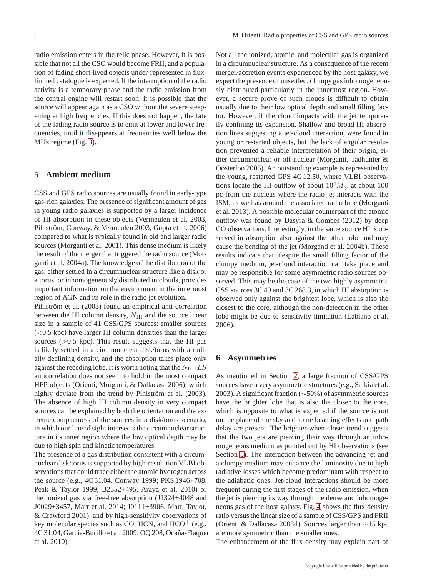radio emission enters in the relic phase. However, it is possible that not all the CSO would become FRII, and a population of fading short-lived objects under-represented in fluxlimited catalogue is expected. If the interruption of the radio activity is a temporary phase and the radio emission from the central engine will restart soon, it is possible that the source will appear again as a CSO without the severe steepening at high frequencies. If this does not happen, the fate of the fading radio source is to emit at lower and lower frequencies, until it disappears at frequencies well below the MHz regime (Fig. [3\)](#page-6-0).

### <span id="page-5-1"></span>**5 Ambient medium**

CSS and GPS radio sources are usually found in early-type gas-rich galaxies. The presence of significant amount of gas in young radio galaxies is supported by a larger incidence of HI absorption in these objects (Vermeulen et al. 2003, Pihlström, Conway, & Vermeulen 2003, Gupta et al. 2006) compared to what is typically found in old and larger radio sources (Morganti et al. 2001). This dense medium is likely the result of the merger that triggered the radio source (Morganti et al. 2004a). The knowledge of the distribution of the gas, either settled in a circumnuclear structure like a disk or a torus, or inhomogeneously distributed in clouds, provides important information on the environment in the innermost region of AGN and its role in the radio jet evolution.

Pihlström et al. (2003) found an empirical anti-correlation between the HI column density,  $N_{\rm HI}$  and the source linear size in a sample of 41 CSS/GPS sources: smaller sources (<0.5 kpc) have larger HI column densities than the larger sources  $(>0.5$  kpc). This result suggests that the HI gas is likely settled in a circumnuclear disk/torus with a radially declining density, and the absorption takes place only against the receding lobe. It is worth noting that the  $N_{\rm HI}$ -LS anticorrelation does not seem to hold in the most compact HFP objects (Orienti, Morganti, & Dallacasa 2006), which highly deviate from the trend by Pihlström et al. (2003). The absence of high HI column density in very compact sources can be explained by both the orientation and the extreme compactness of the sources in a disk/torus scenario, in which our line of sight intersects the circumnuclear structure in its inner region where the low optical depth may be due to high spin and kinetic temperatures.

The presence of a gas distribution consistent with a circumnuclear disk/torus is supported by high-resolution VLBI observations that could trace either the atomic hydrogen across the source (e.g., 4C 31.04, Conway 1999; PKS 1946+708, Peak & Taylor 1999; B2352+495, Araya et al. 2010) or the ionized gas via free-free absorption (J1324+4048 and J0029+3457, Marr et al. 2014; J0111+3906, Marr, Taylor, & Crawford 2001), and by high-sensitivity observations of key molecular species such as CO, HCN, and  $HCO<sup>+</sup>$  (e.g., 4C 31.04, Garcia-Burillo et al. 2009; OQ 208, Ocaña-Flaquer et al. 2010).

Not all the ionized, atomic, and molecular gas is organized in a circumnuclear structure. As a consequence of the recent merger/accretion events experienced by the host galaxy, we expect the presence of unsettled, clumpy gas inhomogeneously distributed particularly in the innermost region. However, a secure prove of such clouds is difficult to obtain usually due to their low optical depth and small filling factor. However, if the cloud impacts with the jet temporarily confining its expansion. Shallow and broad HI absorption lines suggesting a jet-cloud interaction, were found in young or restarted objects, but the lack of angular resolution prevented a reliable interpretation of their origin, either circumnuclear or off-nuclear (Morganti, Tadhunter & Oosterloo 2005). An outstanding example is represented by the young, restarted GPS 4C 12.50, where VLBI observations locate the HI outflow of about  $10^4 M_{\odot}$  at about 100 pc from the nucleus where the radio jet interacts with the ISM, as well as around the associated radio lobe (Morganti et al. 2013). A possible molecular counterpart of the atomic outflow was found by Dasyra & Combes (2012) by deep CO observations. Interestingly, in the same source HI is observed in absorption also against the other lobe and may cause the bending of the jet (Morganti et al. 2004b). These results indicate that, despite the small filling factor of the clumpy medium, jet-cloud interaction can take place and may be responsible for some asymmetric radio sources observed. This may be the case of the two highly asymmetric CSS sources 3C 49 and 3C 268.3, in which HI absorption is observed only against the brightest lobe, which is also the closest to the core, although the non-detection in the other lobe might be due to sensitivity limitation (Labiano et al. 2006).

## <span id="page-5-0"></span>**6 Asymmetries**

As mentioned in Section [2,](#page-1-0) a large fraction of CSS/GPS sources have a very asymmetric structures (e.g., Saikia et al. 2003). A significant fraction (∼50%) of asymmetric sources have the brighter lobe that is also the closer to the core, which is opposite to what is expected if the source is not on the plane of the sky and some beaming effects and path delay are present. The brighter-when-closer trend suggests that the two jets are piercing their way through an inhomogeneous medium as pointed out by HI observations (see Section [5\)](#page-5-1). The interaction between the advancing jet and a clumpy medium may enhance the luminosity due to high radiative losses which become predominant with respect to the adiabatic ones. Jet-cloud interactions should be more frequent during the first stages of the radio emission, when the jet is piercing its way through the dense and inhomogeneous gas of the host galaxy. Fig. [4](#page-6-1) shows the flux density ratio versus the linear size of a sample of CSS/GPS and FRII (Orienti & Dallacasa 2008d). Sources larger than ∼15 kpc are more symmetric than the smaller ones.

The enhancement of the flux density may explain part of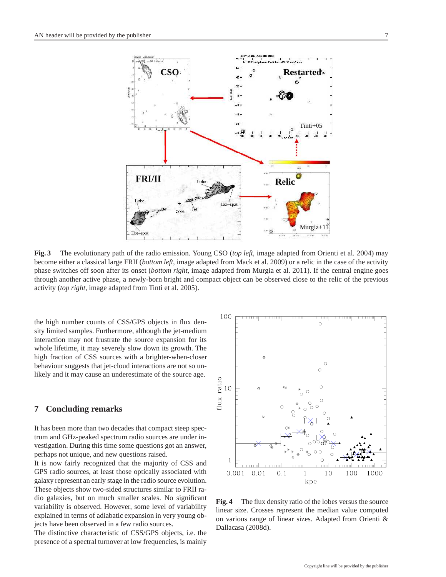

Relic

Murgia+

<span id="page-6-0"></span>**Fig. 3** The evolutionary path of the radio emission. Young CSO (*top left*, image adapted from Orienti et al. 2004) may become either a classical large FRII (*bottom left*, image adapted from Mack et al. 2009) or a relic in the case of the activity phase switches off soon after its onset (*bottom right*, image adapted from Murgia et al. 2011). If the central engine goes through another active phase, a newly-born bright and compact object can be observed close to the relic of the previous activity (*top right*, image adapted from Tinti et al. 2005).

Hot-spot

the high number counts of CSS/GPS objects in flux density limited samples. Furthermore, although the jet-medium interaction may not frustrate the source expansion for its whole lifetime, it may severely slow down its growth. The high fraction of CSS sources with a brighter-when-closer behaviour suggests that jet-cloud interactions are not so unlikely and it may cause an underestimate of the source age.

**FRI/II** 

 $Hot-spot$ 

# **7 Concluding remarks**

It has been more than two decades that compact steep spectrum and GHz-peaked spectrum radio sources are under investigation. During this time some questions got an answer, perhaps not unique, and new questions raised.

It is now fairly recognized that the majority of CSS and GPS radio sources, at least those optically associated with galaxy represent an early stage in the radio source evolution. These objects show two-sided structures similar to FRII radio galaxies, but on much smaller scales. No significant variability is observed. However, some level of variability explained in terms of adiabatic expansion in very young objects have been observed in a few radio sources.

The distinctive characteristic of CSS/GPS objects, i.e. the presence of a spectral turnover at low frequencies, is mainly



<span id="page-6-1"></span>**Fig. 4** The flux density ratio of the lobes versus the source linear size. Crosses represent the median value computed on various range of linear sizes. Adapted from Orienti & Dallacasa (2008d).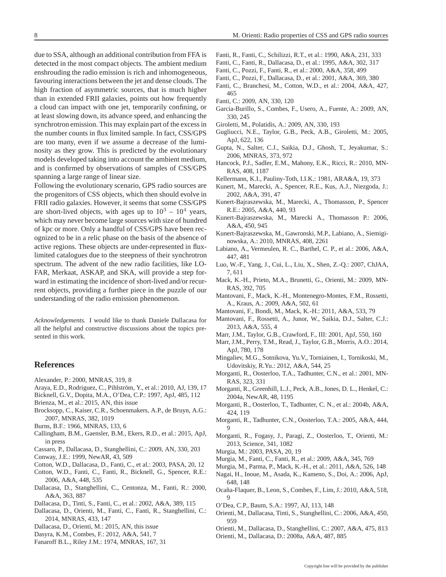due to SSA, although an additional contribution from FFA is detected in the most compact objects. The ambient medium enshrouding the radio emission is rich and inhomogeneous, favouring interactions between the jet and dense clouds. The high fraction of asymmetric sources, that is much higher than in extended FRII galaxies, points out how frequently a cloud can impact with one jet, temporarily confining, or at least slowing down, its advance speed, and enhancing the synchrotron emission. This may explain part of the excess in the number counts in flux limited sample. In fact, CSS/GPS are too many, even if we assume a decrease of the luminosity as they grow. This is predicted by the evolutionary models developed taking into account the ambient medium, and is confirmed by observations of samples of CSS/GPS spanning a large range of linear size.

Following the evolutionary scenario, GPS radio sources are the progenitors of CSS objects, which then should evolve in FRII radio galaxies. However, it seems that some CSS/GPS are short-lived objects, with ages up to  $10^3 - 10^4$  years, which may never become large sources with size of hundred of kpc or more. Only a handful of CSS/GPS have been recognized to be in a relic phase on the basis of the absence of active regions. These objects are under-represented in fluxlimited catalogues due to the steepness of their synchrotron spectrum. The advent of the new radio facilities, like LO-FAR, Merkaat, ASKAP, and SKA, will provide a step forward in estimating the incidence of short-lived and/or recurrent objects, providing a further piece in the puzzle of our understanding of the radio emission phenomenon.

*Acknowledgements.* I would like to thank Daniele Dallacasa for all the helpful and constructive discussions about the topics presented in this work.

### **References**

- Alexander, P.: 2000, MNRAS, 319, 8
- Araya, E.D., Rodriguez, C., Pihlström, Y., et al.: 2010, AJ, 139, 17
- Bicknell, G.V., Dopita, M.A., O'Dea, C.P.: 1997, ApJ, 485, 112
- Brienza, M., et al.: 2015, AN, this issue
- Brocksopp, C., Kaiser, C.R., Schoenmakers, A.P., de Bruyn, A.G.: 2007, MNRAS, 382, 1019
- Burns, B.F.: 1966, MNRAS, 133, 6
- Callingham, B.M., Gaensler, B.M., Ekers, R.D., et al.: 2015, ApJ, in press
- Cassaro, P., Dallacasa, D., Stanghellini, C.: 2009, AN, 330, 203
- Conway, J.E.: 1999, NewAR, 43, 509
- Cotton, W.D., Dallacasa, D., Fanti, C., et al.: 2003, PASA, 20, 12
- Cotton, W.D., Fanti, C., Fanti, R., Bicknell, G., Spencer, R.E.: 2006, A&A, 448, 535
- Dallacasa, D., Stanghellini, C., Centonza, M., Fanti, R.: 2000, A&A, 363, 887
- Dallacasa, D., Tinti, S., Fanti, C., et al.: 2002, A&A, 389, 115
- Dallacasa, D., Orienti, M., Fanti, C., Fanti, R., Stanghellini, C.: 2014, MNRAS, 433, 147
- Dallacasa, D., Orienti, M.: 2015, AN, this issue
- Dasyra, K.M., Combes, F.: 2012, A&A, 541, 7
- Fanaroff B.L., Riley J.M.: 1974, MNRAS, 167, 31
- Fanti, R., Fanti, C., Schilizzi, R.T., et al.: 1990, A&A, 231, 333
- Fanti, C., Fanti, R., Dallacasa, D., et al.: 1995, A&A, 302, 317
- Fanti, C., Pozzi, F., Fanti, R., et al.: 2000, A&A, 358, 499
- Fanti, C., Pozzi, F., Dallacasa, D., et al.: 2001, A&A, 369, 380
- Fanti, C., Branchesi, M., Cotton, W.D., et al.: 2004, A&A, 427, 465
- Fanti, C.: 2009, AN, 330, 120
- Garcia-Burillo, S., Combes, F., Usero, A., Fuente, A.: 2009, AN, 330, 245
- Giroletti, M., Polatidis, A.: 2009, AN, 330, 193
- Gugliucci, N.E., Taylor, G.B., Peck, A.B., Giroletti, M.: 2005, ApJ, 622, 136
- Gupta, N., Salter, C.J., Saikia, D.J., Ghosh, T., Jeyakumar, S.: 2006, MNRAS, 373, 972
- Hancock, P.J., Sadler, E.M., Mahony, E.K., Ricci, R.: 2010, MN-RAS, 408, 1187
- Kellermann, K.I., Pauliny-Toth, I.I.K.: 1981, ARA&A, 19, 373
- Kunert, M., Marecki, A., Spencer, R.E., Kus, A.J., Niezgoda, J.: 2002, A&A, 391, 47
- Kunert-Bajraszewska, M., Marecki, A., Thomasson, P., Spencer R.E.: 2005, A&A, 440, 93
- Kunert-Bajraszewska, M., Marecki A., Thomasson P.: 2006, A&A, 450, 945
- Kunert-Bajraszewska, M., Gawronski, M.P., Labiano, A., Siemiginowska, A.: 2010, MNRAS, 408, 2261
- Labiano, A., Vermeulen, R. C., Barthel, C. P., et al.: 2006, A&A, 447, 481
- Luo, W.-F., Yang, J., Cui, L., Liu, X., Shen, Z.-Q.: 2007, ChJAA, 7, 611
- Mack, K.-H., Prieto, M.A., Brunetti, G., Orienti, M.: 2009, MN-RAS, 392, 705
- Mantovani, F., Mack, K.-H., Montenegro-Montes, F.M., Rossetti, A., Kraus, A.: 2009, A&A, 502, 61
- Mantovani, F., Bondi, M., Mack, K.-H.: 2011, A&A, 533, 79
- Mantovani, F., Rossetti, A., Junor, W., Saikia, D.J., Salter, C.J.: 2013, A&A, 555, 4
- Marr, J.M., Taylor, G.B., Crawford, F., III: 2001, ApJ, 550, 160
- Marr, J.M., Perry, T.M., Read, J., Taylor, G.B., Morris, A.O.: 2014, ApJ, 780, 178
- Mingaliev, M.G., Sotnikova, Yu.V., Torniainen, I., Tornikoski, M., Udovitskiy, R.Yu.: 2012, A&A, 544, 25
- Morganti, R., Oosterloo, T.A., Tadhunter, C.N., et al.: 2001, MN-RAS, 323, 331
- Morganti, R., Greenhill, L.J., Peck, A.B., Jones, D. L., Henkel, C.: 2004a, NewAR, 48, 1195
- Morganti, R., Oosterloo, T., Tadhunter, C. N., et al.: 2004b, A&A, 424, 119
- Morganti, R., Tadhunter, C.N., Oosterloo, T.A.: 2005, A&A, 444, 9
- Morganti, R., Fogasy, J., Paragi, Z., Oosterloo, T., Orienti, M.: 2013, Science, 341, 1082
- Murgia, M.: 2003, PASA, 20, 19
- Murgia, M., Fanti, C., Fanti, R., et al.: 2009, A&A, 345, 769
- Murgia, M., Parma, P., Mack, K.-H., et al.: 2011, A&A, 526, 148 Nagai, H., Inoue, M., Asada, K., Kameno, S., Doi, A.: 2006, ApJ,
- 648, 148
- Oca˜na-Flaquer, B., Leon, S., Combes, F., Lim, J.: 2010, A&A, 518, 9
- O'Dea, C.P., Baum, S.A.: 1997, AJ, 113, 148
- Orienti, M., Dallacasa, Tinti, S., Stanghellini, C.: 2006, A&A, 450, 959
- Orienti, M., Dallacasa, D., Stanghellini, C.: 2007, A&A, 475, 813 Orienti, M., Dallacasa, D.: 2008a, A&A, 487, 885